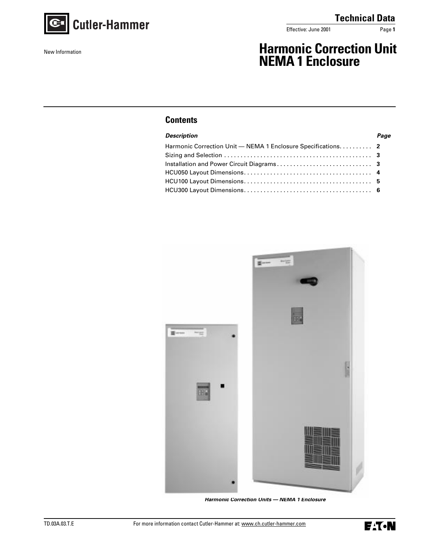

New Information

effective: June 2001 Page 1

# **Harmonic Correction Unit NEMA 1 Enclosure**

# **Contents**

| <b>Description</b>                                           | Page |
|--------------------------------------------------------------|------|
| Harmonic Correction Unit - NEMA 1 Enclosure Specifications 2 |      |
|                                                              |      |
|                                                              |      |
|                                                              |      |
|                                                              |      |
|                                                              |      |
|                                                              |      |



**Harmonic Correction Units — NEMA 1 Enclosure**

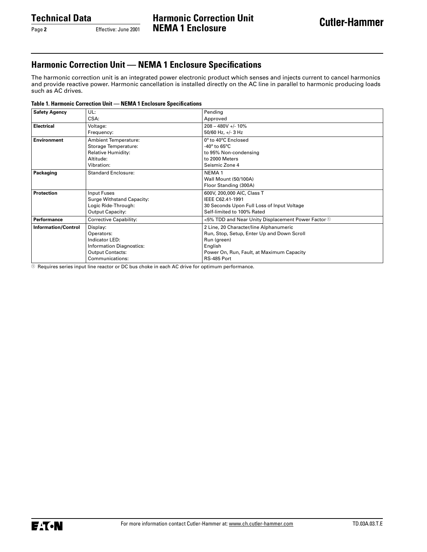Page 2 **Effective:** June 2001

# **Harmonic Correction Unit — NEMA 1 Enclosure Specifications**

The harmonic correction unit is an integrated power electronic product which senses and injects current to cancel harmonics and provide reactive power. Harmonic cancellation is installed directly on the AC line in parallel to harmonic producing loads such as AC drives.

#### **Table 1. Harmonic Correction Unit — NEMA 1 Enclosure Specifications**

| <b>Safety Agency</b>       | UL:                         | Pending                                                                         |  |  |  |
|----------------------------|-----------------------------|---------------------------------------------------------------------------------|--|--|--|
|                            | CSA:                        | Approved                                                                        |  |  |  |
| <b>Electrical</b>          | Voltage:                    | $208 - 480V + 10%$                                                              |  |  |  |
|                            | Frequency:                  | 50/60 Hz, $+/-$ 3 Hz                                                            |  |  |  |
| <b>Environment</b>         | <b>Ambient Temperature:</b> | 0° to 40°C Enclosed                                                             |  |  |  |
|                            | Storage Temperature:        | -40 $^{\circ}$ to 65 $^{\circ}$ C                                               |  |  |  |
|                            | Relative Humidity:          | to 95% Non-condensing                                                           |  |  |  |
|                            | Altitude:                   | to 2000 Meters                                                                  |  |  |  |
|                            | Vibration:                  | Seismic Zone 4                                                                  |  |  |  |
| Packaging                  | <b>Standard Enclosure:</b>  | NEMA <sub>1</sub>                                                               |  |  |  |
|                            |                             | Wall Mount (50/100A)                                                            |  |  |  |
|                            |                             | Floor Standing (300A)                                                           |  |  |  |
| <b>Protection</b>          | Input Fuses                 | 600V, 200,000 AIC, Class T                                                      |  |  |  |
|                            | Surge Withstand Capacity:   | IEEE C62.41-1991                                                                |  |  |  |
|                            | Logic Ride-Through:         | 30 Seconds Upon Full Loss of Input Voltage                                      |  |  |  |
|                            | <b>Output Capacity:</b>     | Self-limited to 100% Rated                                                      |  |  |  |
| Performance                | Corrective Capability:      | <5% TDD and Near Unity Displacement Power Factor $\textcircled{\scriptsize{1}}$ |  |  |  |
| <b>Information/Control</b> | Display:                    | 2 Line, 20 Character/line Alphanumeric                                          |  |  |  |
|                            | Operators:                  | Run, Stop, Setup, Enter Up and Down Scroll                                      |  |  |  |
|                            | Indicator LED:              | Run (green)                                                                     |  |  |  |
|                            | Information Diagnostics:    | English                                                                         |  |  |  |
|                            | <b>Output Contacts:</b>     | Power On, Run, Fault, at Maximum Capacity                                       |  |  |  |
|                            | Communications:             | RS-485 Port                                                                     |  |  |  |

 $0$  Requires series input line reactor or DC bus choke in each AC drive for optimum performance.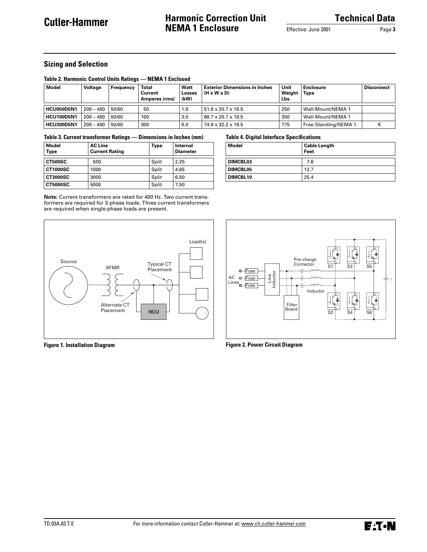# **Harmonic Correction Unit NEMA 1 Enclosure**

Effective: June 2001 Page **3**

## **Sizing and Selection**

#### **Table 2. Harmonic Control Units Ratings — NEMA 1 Enclosed**

| Model             | Voltage     | Frequency | <b>Total</b><br>Current<br>Amperes (rms) | Watt<br>Losses<br>(kW) | <b>Exterior Dimensions in Inches</b><br>$(H \times W \times D)$ | Unit<br>Weight<br>Lbs. | <b>Enclosure</b><br><b>Type</b> | <b>Disconnect</b> |
|-------------------|-------------|-----------|------------------------------------------|------------------------|-----------------------------------------------------------------|------------------------|---------------------------------|-------------------|
| HCU050D5N1        | $208 - 480$ | 50/60     | 50                                       | 1.8                    | $51.8 \times 20.7 \times 18.5$                                  | 250                    | Wall-Mount/NEMA 1               |                   |
| <b>HCU100D5N1</b> | $208 - 480$ | 50/60     | 100                                      | 3.0                    | 68.7 x 20.7 x 18.5                                              | 350                    | <b>Wall-Mount/NEMA 1</b>        |                   |
| <b>HCU300D5N1</b> | $208 - 480$ | 50/60     | 300                                      | 8.0                    | 74.9 x 32.2 x 19.5                                              | 775                    | Free-Standing/NEMA 1            |                   |

#### **Table 3. Current transformer Ratings — Dimensions in Inches (mm)**

| <b>Model</b><br><b>Type</b> | <b>AC Line</b><br><b>Current Rating</b> | Type  | <b>Internal</b><br><b>Diameter</b> |
|-----------------------------|-----------------------------------------|-------|------------------------------------|
| <b>CT500SC</b>              | 500                                     | Split | 2.25                               |
| <b>CT1000SC</b>             | 1000                                    | Split | 4.65                               |
| <b>CT3000SC</b>             | 3000                                    | Split | 6.50                               |
| <b>CT5000SC</b>             | 5000                                    | Split | 7.50                               |

**Note:** Current transformers are rated for 400 Hz. Two current transformers are required for 3-phase loads. Three current transformers are required when single-phase loads are present.





**Feet** 

**Figure 1. Installation Diagram**

**Figure 2. Power Circuit Diagram**

**Table 4. Digital Interface Specifications**

**DIMCBL03** 7.6 **DIMCBL05** 12.7 **DIMCBL10** 25.4

**Model** Cable Length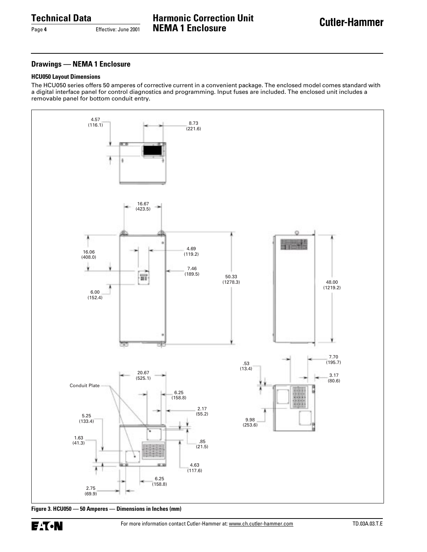Page **4** Effective: June 2001

**Harmonic Correction Unit NEMA 1 Enclosure**

## **Drawings — NEMA 1 Enclosure**

#### **HCU050 Layout Dimensions**

The HCU050 series offers 50 amperes of corrective current in a convenient package. The enclosed model comes standard with a digital interface panel for control diagnostics and programming. Input fuses are included. The enclosed unit includes a removable panel for bottom conduit entry.



**Figure 3. HCU050 — 50 Amperes — Dimensions in Inches (mm)**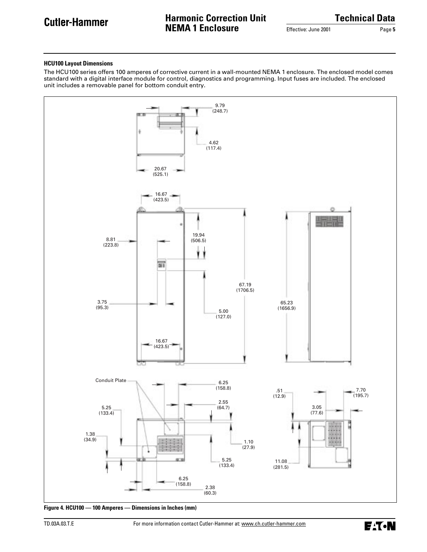# **Harmonic Correction Unit NEMA 1 Enclosure**

**Technical Data**

Effective: June 2001 Page **5**

#### **HCU100 Layout Dimensions**

The HCU100 series offers 100 amperes of corrective current in a wall-mounted NEMA 1 enclosure. The enclosed model comes standard with a digital interface module for control, diagnostics and programming. Input fuses are included. The enclosed unit includes a removable panel for bottom conduit entry.



**Figure 4. HCU100 — 100 Amperes — Dimensions in Inches (mm)**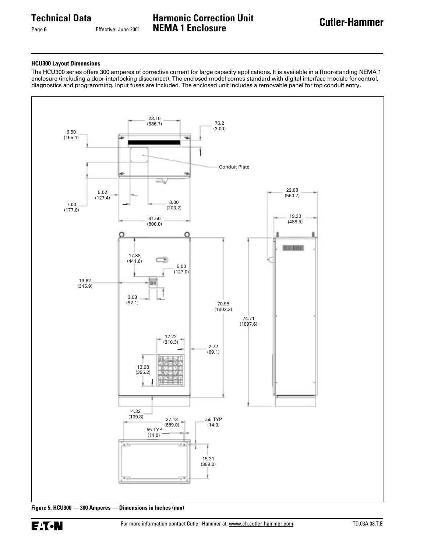Page 6 **Effective: June 2001** 

**Harmonic Correction Unit NEMA 1 Enclosure**

## **HCU300 Layout Dimensions**

The HCU300 series offers 300 amperes of corrective current for large capacity applications. It is available in a floor-standing NEMA 1 enclosure (including a door-interlocking disconnect). The enclosed model comes standard with digital interface module for control, diagnostics and programming. Input fuses are included. The enclosed unit includes a removable panel for top conduit entry.

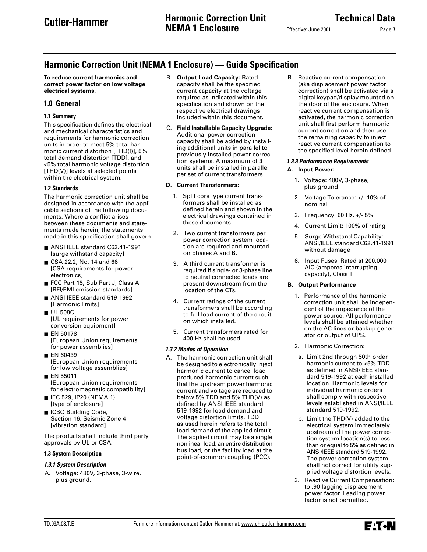Effective: June 2001 **Page 7** 

# **Harmonic Correction Unit (NEMA 1 Enclosure) — Guide Specification**

**To reduce current harmonics and correct power factor on low voltage electrical systems.**

# **1.0 General**

# **1.1 Summary**

This specification defines the electrical and mechanical characteristics and requirements for harmonic correction units in order to meet 5% total harmonic current distortion [THD(I)], 5% total demand distortion [TDD], and <5% total harmonic voltage distortion [THD(V)] levels at selected points within the electrical system.

## **1.2 Standards**

The harmonic correction unit shall be designed in accordance with the applicable sections of the following documents. Where a conflict arises between these documents and statements made herein, the statements made in this specification shall govern.

- ANSI IEEE standard C62.41-1991 [surge withstand capacity]
- CSA 22.2, No. 14 and 66 [CSA requirements for power electronics]
- FCC Part 15, Sub Part J, Class A [RFI/EMI emission standards]
- ANSI IEEE standard 519-1992 [Harmonic limits]
- UL 508C [UL requirements for power conversion equipment]
- EN 50178 [European Union requirements for power assemblies]
- EN 60439 [European Union requirements for low voltage assemblies]
- EN 55011 [European Union requirements for electromagnetic compatibility]
- IEC 529, IP20 (NEMA 1) [type of enclosure]
- ICBO Building Code, Section 16, Seismic Zone 4 [vibration standard]

The products shall include third party approvals by UL or CSA.

# **1.3 System Description**

# **1.3.1 System Description**

A. Voltage: 480V, 3-phase, 3-wire, plus ground.

- B. **Output Load Capacity:** Rated capacity shall be the specified current capacity at the voltage required as indicated within this specification and shown on the respective electrical drawings included within this document.
- C. **Field Installable Capacity Upgrade:** Additional power correction capacity shall be added by installing additional units in parallel to previously installed power correction systems. A maximum of 3 units shall be installed in parallel per set of current transformers.

# **D. Current Transformers:**

- 1. Split core type current transformers shall be installed as defined herein and shown in the electrical drawings contained in these documents.
- 2. Two current transformers per power correction system location are required and mounted on phases A and B.
- 3. A third current transformer is required if single- or 3-phase line to neutral connected loads are present downstream from the location of the CTs.
- 4. Current ratings of the current transformers shall be according to full load current of the circuit on which installed.
- 5. Current transformers rated for 400 Hz shall be used.

# **1.3.2 Modes of Operation**

A. The harmonic correction unit shall be designed to electronically inject harmonic current to cancel load produced harmonic current such that the upstream power harmonic current and voltage are reduced to below 5% TDD and 5% THD(V) as defined by ANSI IEEE standard 519-1992 for load demand and voltage distortion limits. TDD as used herein refers to the total load demand of the applied circuit. The applied circuit may be a single nonlinear load, an entire distribution bus load, or the facility load at the point-of-common coupling (PCC).

B. Reactive current compensation (aka displacement power factor correction) shall be activated via a digital keypad/display mounted on the door of the enclosure. When reactive current compensation is activated, the harmonic correction unit shall first perform harmonic current correction and then use the remaining capacity to inject reactive current compensation to the specified level herein defined.

## **1.3.3 Performance Requirements A. Input Power:**

- 1. Voltage: 480V, 3-phase, plus ground
- 2. Voltage Tolerance: +/- 10% of nominal
- 3. Frequency: 60 Hz, +/- 5%
- 4. Current Limit: 100% of rating
- 5. Surge Withstand Capability: ANSI/IEEE standard C62.41-1991 without damage
- 6. Input Fuses: Rated at 200,000 AIC (amperes interrupting capacity), Class T

# **B. Output Performance**

- 1. Performance of the harmonic correction unit shall be independent of the impedance of the power source. All performance levels shall be attained whether on the AC lines or backup generator or output of UPS.
- 2. Harmonic Correction:
- a. Limit 2nd through 50th order harmonic current to <5% TDD as defined in ANSI/IEEE standard 519-1992 at each installed location. Harmonic levels for individual harmonic orders shall comply with respective levels established in ANSI/IEEE standard 519-1992.
- b. Limit the THD(V) added to the electrical system immediately upstream of the power correction system location(s) to less than or equal to 5% as defined in ANSI/IEEE standard 519-1992. The power correction system shall not correct for utility supplied voltage distortion levels.
- 3. Reactive Current Compensation: to .90 lagging displacement power factor. Leading power factor is not permitted.